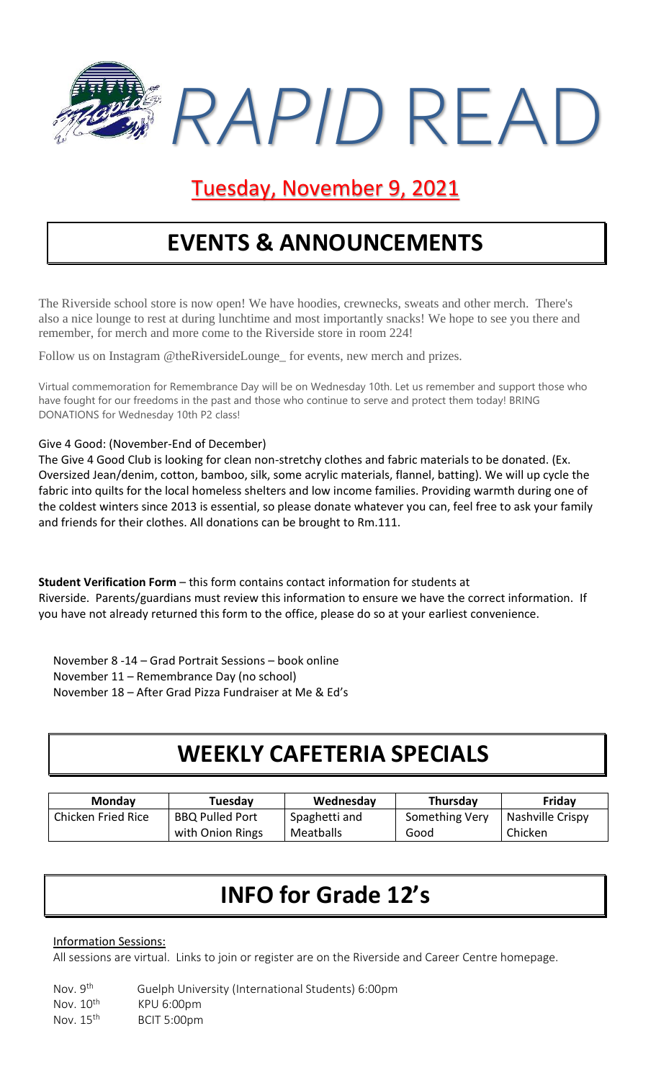

## Tuesday, November 9, 2021

# **EVENTS & ANNOUNCEMENTS**

The Riverside school store is now open! We have hoodies, crewnecks, sweats and other merch. There's also a nice lounge to rest at during lunchtime and most importantly snacks! We hope to see you there and remember, for merch and more come to the Riverside store in room 224!

Follow us on Instagram @theRiversideLounge\_ for events, new merch and prizes.

Virtual commemoration for Remembrance Day will be on Wednesday 10th. Let us remember and support those who have fought for our freedoms in the past and those who continue to serve and protect them today! BRING DONATIONS for Wednesday 10th P2 class!

#### Give 4 Good: (November-End of December)

The Give 4 Good Club is looking for clean non-stretchy clothes and fabric materials to be donated. (Ex. Oversized Jean/denim, cotton, bamboo, silk, some acrylic materials, flannel, batting). We will up cycle the fabric into quilts for the local homeless shelters and low income families. Providing warmth during one of the coldest winters since 2013 is essential, so please donate whatever you can, feel free to ask your family and friends for their clothes. All donations can be brought to Rm.111.

**Student Verification Form** – this form contains contact information for students at Riverside. Parents/guardians must review this information to ensure we have the correct information. If you have not already returned this form to the office, please do so at your earliest convenience.

November 8 -14 – Grad Portrait Sessions – book online November 11 – Remembrance Day (no school) November 18 – After Grad Pizza Fundraiser at Me & Ed's

### **WEEKLY CAFETERIA SPECIALS**

| <b>Monday</b>      | Tuesday                | Wednesday     | Thursday       | Friday           |
|--------------------|------------------------|---------------|----------------|------------------|
| Chicken Fried Rice | <b>BBQ Pulled Port</b> | Spaghetti and | Something Very | Nashville Crispy |
|                    | with Onion Rings       | Meatballs     | Good           | Chicken          |

# **INFO for Grade 12's**

### Information Sessions:

All sessions are virtual. Links to join or register are on the Riverside and Career Centre homepage.

Nov. 9th Guelph University (International Students) 6:00pm Nov. 10<sup>th</sup> KPU 6:00pm Nov. 15<sup>th</sup> BCIT 5:00pm